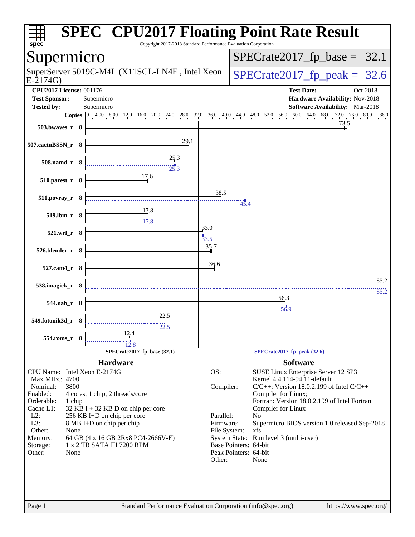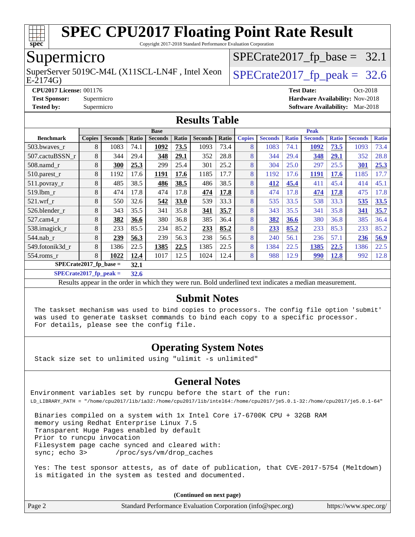

Copyright 2017-2018 Standard Performance Evaluation Corporation

### Supermicro

E-2174G) SuperServer 5019C-M4L (X11SCL-LN4F, Intel Xeon  $\big|$  [SPECrate2017\\_fp\\_peak =](http://www.spec.org/auto/cpu2017/Docs/result-fields.html#SPECrate2017fppeak) 32.6

 $SPECTate2017_fp\_base = 32.1$ 

**[CPU2017 License:](http://www.spec.org/auto/cpu2017/Docs/result-fields.html#CPU2017License)** 001176 **[Test Date:](http://www.spec.org/auto/cpu2017/Docs/result-fields.html#TestDate)** Oct-2018 **[Test Sponsor:](http://www.spec.org/auto/cpu2017/Docs/result-fields.html#TestSponsor)** Supermicro **[Hardware Availability:](http://www.spec.org/auto/cpu2017/Docs/result-fields.html#HardwareAvailability)** Nov-2018 **[Tested by:](http://www.spec.org/auto/cpu2017/Docs/result-fields.html#Testedby)** Supermicro **[Software Availability:](http://www.spec.org/auto/cpu2017/Docs/result-fields.html#SoftwareAvailability)** Mar-2018

#### **[Results Table](http://www.spec.org/auto/cpu2017/Docs/result-fields.html#ResultsTable)**

|                                | <b>Base</b>   |                |       |                |       | <b>Peak</b>    |       |               |                |              |                |              |                |              |
|--------------------------------|---------------|----------------|-------|----------------|-------|----------------|-------|---------------|----------------|--------------|----------------|--------------|----------------|--------------|
| <b>Benchmark</b>               | <b>Copies</b> | <b>Seconds</b> | Ratio | <b>Seconds</b> | Ratio | <b>Seconds</b> | Ratio | <b>Copies</b> | <b>Seconds</b> | <b>Ratio</b> | <b>Seconds</b> | <b>Ratio</b> | <b>Seconds</b> | <b>Ratio</b> |
| 503.bwaves_r                   | 8             | 1083           | 74.1  | 1092           | 73.5  | 1093           | 73.4  | 8             | 1083           | 74.1         | 1092           | 73.5         | 1093           | 73.4         |
| 507.cactuBSSN r                | 8             | 344            | 29.4  | 348            | 29.1  | 352            | 28.8  | 8             | 344            | 29.4         | 348            | 29.1         | 352            | 28.8         |
| $508$ .namd $r$                | 8             | 300            | 25.3  | 299            | 25.4  | 301            | 25.2  | 8             | 304            | 25.0         | 297            | 25.5         | 301            | 25.3         |
| 510.parest_r                   | 8             | 1192           | 17.6  | 1191           | 17.6  | 1185           | 17.7  | 8             | 1192           | 17.6         | 1191           | 17.6         | 1185           | 17.7         |
| 511.povray_r                   | 8             | 485            | 38.5  | 486            | 38.5  | 486            | 38.5  | 8             | 412            | 45.4         | 411            | 45.4         | 414            | 45.1         |
| 519.1bm_r                      | 8             | 474            | 17.8  | 474            | 17.8  | 474            | 17.8  | 8             | 474            | 17.8         | 474            | 17.8         | 475            | 17.8         |
| $521$ .wrf r                   | 8             | 550            | 32.6  | 542            | 33.0  | 539            | 33.3  | 8             | 535            | 33.5         | 538            | 33.3         | 535            | 33.5         |
| 526.blender r                  | 8             | 343            | 35.5  | 341            | 35.8  | 341            | 35.7  | 8             | 343            | 35.5         | 341            | 35.8         | 341            | 35.7         |
| 527.cam4_r                     | 8             | 382            | 36.6  | 380            | 36.8  | 385            | 36.4  | 8             | 382            | 36.6         | 380            | 36.8         | 385            | 36.4         |
| 538.imagick_r                  | 8             | 233            | 85.5  | 234            | 85.2  | 233            | 85.2  | 8             | 233            | 85.2         | 233            | 85.3         | 233            | 85.2         |
| $544$ .nab_r                   | 8             | 239            | 56.3  | 239            | 56.3  | 238            | 56.5  | 8             | 240            | 56.1         | 236            | 57.1         | 236            | 56.9         |
| 549.fotonik3d_r                | 8             | 1386           | 22.5  | 1385           | 22.5  | 1385           | 22.5  | 8             | 1384           | 22.5         | 1385           | 22.5         | 1386           | 22.5         |
| $554$ .roms $r$                | 8             | 1022           | 12.4  | 1017           | 12.5  | 1024           | 12.4  | 8             | 988            | 12.9         | <u>990</u>     | <u>12.8</u>  | 992            | 12.8         |
| SPECrate2017_fp_base =<br>32.1 |               |                |       |                |       |                |       |               |                |              |                |              |                |              |

**[SPECrate2017\\_fp\\_peak =](http://www.spec.org/auto/cpu2017/Docs/result-fields.html#SPECrate2017fppeak) 32.6**

Results appear in the [order in which they were run](http://www.spec.org/auto/cpu2017/Docs/result-fields.html#RunOrder). Bold underlined text [indicates a median measurement](http://www.spec.org/auto/cpu2017/Docs/result-fields.html#Median).

### **[Submit Notes](http://www.spec.org/auto/cpu2017/Docs/result-fields.html#SubmitNotes)**

 The taskset mechanism was used to bind copies to processors. The config file option 'submit' was used to generate taskset commands to bind each copy to a specific processor. For details, please see the config file.

### **[Operating System Notes](http://www.spec.org/auto/cpu2017/Docs/result-fields.html#OperatingSystemNotes)**

Stack size set to unlimited using "ulimit -s unlimited"

#### **[General Notes](http://www.spec.org/auto/cpu2017/Docs/result-fields.html#GeneralNotes)**

Environment variables set by runcpu before the start of the run: LD\_LIBRARY\_PATH = "/home/cpu2017/lib/ia32:/home/cpu2017/lib/intel64:/home/cpu2017/je5.0.1-32:/home/cpu2017/je5.0.1-64"

 Binaries compiled on a system with 1x Intel Core i7-6700K CPU + 32GB RAM memory using Redhat Enterprise Linux 7.5 Transparent Huge Pages enabled by default Prior to runcpu invocation Filesystem page cache synced and cleared with: sync; echo 3> /proc/sys/vm/drop\_caches

 Yes: The test sponsor attests, as of date of publication, that CVE-2017-5754 (Meltdown) is mitigated in the system as tested and documented.

**(Continued on next page)**

| Page 2 | Standard Performance Evaluation Corporation (info@spec.org) | https://www.spec.org/ |
|--------|-------------------------------------------------------------|-----------------------|
|--------|-------------------------------------------------------------|-----------------------|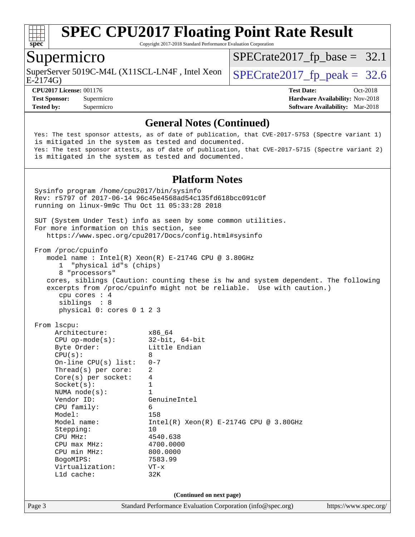

Copyright 2017-2018 Standard Performance Evaluation Corporation

### Supermicro

SuperServer 5019C-M4L (X11SCL-LN4F, Intel Xeon  $\big|$  [SPECrate2017\\_fp\\_peak =](http://www.spec.org/auto/cpu2017/Docs/result-fields.html#SPECrate2017fppeak) 32.6

 $SPECTate2017_fp\_base = 32.1$ 

E-2174G)

**[CPU2017 License:](http://www.spec.org/auto/cpu2017/Docs/result-fields.html#CPU2017License)** 001176 **[Test Date:](http://www.spec.org/auto/cpu2017/Docs/result-fields.html#TestDate)** Oct-2018 **[Test Sponsor:](http://www.spec.org/auto/cpu2017/Docs/result-fields.html#TestSponsor)** Supermicro **[Hardware Availability:](http://www.spec.org/auto/cpu2017/Docs/result-fields.html#HardwareAvailability)** Nov-2018 **[Tested by:](http://www.spec.org/auto/cpu2017/Docs/result-fields.html#Testedby)** Supermicro **[Software Availability:](http://www.spec.org/auto/cpu2017/Docs/result-fields.html#SoftwareAvailability)** Mar-2018

#### **[General Notes \(Continued\)](http://www.spec.org/auto/cpu2017/Docs/result-fields.html#GeneralNotes)**

 Yes: The test sponsor attests, as of date of publication, that CVE-2017-5753 (Spectre variant 1) is mitigated in the system as tested and documented. Yes: The test sponsor attests, as of date of publication, that CVE-2017-5715 (Spectre variant 2) is mitigated in the system as tested and documented.

#### **[Platform Notes](http://www.spec.org/auto/cpu2017/Docs/result-fields.html#PlatformNotes)**

Page 3 Standard Performance Evaluation Corporation [\(info@spec.org\)](mailto:info@spec.org) <https://www.spec.org/> Sysinfo program /home/cpu2017/bin/sysinfo Rev: r5797 of 2017-06-14 96c45e4568ad54c135fd618bcc091c0f running on linux-9m9c Thu Oct 11 05:33:28 2018 SUT (System Under Test) info as seen by some common utilities. For more information on this section, see <https://www.spec.org/cpu2017/Docs/config.html#sysinfo> From /proc/cpuinfo model name : Intel(R) Xeon(R) E-2174G CPU @ 3.80GHz 1 "physical id"s (chips) 8 "processors" cores, siblings (Caution: counting these is hw and system dependent. The following excerpts from /proc/cpuinfo might not be reliable. Use with caution.) cpu cores : 4 siblings : 8 physical 0: cores 0 1 2 3 From lscpu: Architecture: x86\_64 CPU op-mode(s): 32-bit, 64-bit<br>Byte Order: Little Endian Little Endian  $CPU(s):$  8 On-line CPU(s) list: 0-7 Thread(s) per core: 2 Core(s) per socket: 4  $Sockets(s):$  1 NUMA node(s): 1 Vendor ID: GenuineIntel CPU family: 6 Model: 158 Model name:  $Intel(R)$  Xeon(R) E-2174G CPU @ 3.80GHz Stepping: 10 CPU MHz: 4540.638 CPU max MHz: 4700.0000 CPU min MHz: 800.0000 BogoMIPS: 7583.99 Virtualization: VT-x L1d cache: 32K **(Continued on next page)**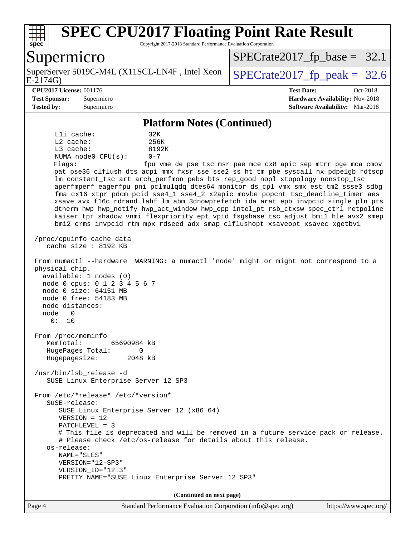

Copyright 2017-2018 Standard Performance Evaluation Corporation

### Supermicro

E-2174G) SuperServer 5019C-M4L (X11SCL-LN4F, Intel Xeon  $\big|$  SPECrate 2017 fp peak = 32.6

 $SPECTate2017_fp\_base = 32.1$ 

#### **[CPU2017 License:](http://www.spec.org/auto/cpu2017/Docs/result-fields.html#CPU2017License)** 001176 **[Test Date:](http://www.spec.org/auto/cpu2017/Docs/result-fields.html#TestDate)** Oct-2018

**[Test Sponsor:](http://www.spec.org/auto/cpu2017/Docs/result-fields.html#TestSponsor)** Supermicro **[Hardware Availability:](http://www.spec.org/auto/cpu2017/Docs/result-fields.html#HardwareAvailability)** Nov-2018 **[Tested by:](http://www.spec.org/auto/cpu2017/Docs/result-fields.html#Testedby)** Supermicro **[Software Availability:](http://www.spec.org/auto/cpu2017/Docs/result-fields.html#SoftwareAvailability)** Mar-2018

#### **[Platform Notes \(Continued\)](http://www.spec.org/auto/cpu2017/Docs/result-fields.html#PlatformNotes)**

L1i cache: 32K L2 cache: 256K L3 cache: 8192K NUMA node0 CPU(s): 0-7 Flags: fpu vme de pse tsc msr pae mce cx8 apic sep mtrr pge mca cmov

 pat pse36 clflush dts acpi mmx fxsr sse sse2 ss ht tm pbe syscall nx pdpe1gb rdtscp lm constant\_tsc art arch\_perfmon pebs bts rep\_good nopl xtopology nonstop\_tsc aperfmperf eagerfpu pni pclmulqdq dtes64 monitor ds\_cpl vmx smx est tm2 ssse3 sdbg fma cx16 xtpr pdcm pcid sse4\_1 sse4\_2 x2apic movbe popcnt tsc\_deadline\_timer aes xsave avx f16c rdrand lahf\_lm abm 3dnowprefetch ida arat epb invpcid\_single pln pts dtherm hwp hwp\_notify hwp\_act\_window hwp\_epp intel\_pt rsb\_ctxsw spec\_ctrl retpoline kaiser tpr\_shadow vnmi flexpriority ept vpid fsgsbase tsc\_adjust bmi1 hle avx2 smep bmi2 erms invpcid rtm mpx rdseed adx smap clflushopt xsaveopt xsavec xgetbv1

 /proc/cpuinfo cache data cache size : 8192 KB

0: 10

 From numactl --hardware WARNING: a numactl 'node' might or might not correspond to a physical chip.

 available: 1 nodes (0) node 0 cpus: 0 1 2 3 4 5 6 7 node 0 size: 64151 MB node 0 free: 54183 MB node distances: node 0

 From /proc/meminfo MemTotal: 65690984 kB HugePages\_Total: 0 Hugepagesize: 2048 kB

 /usr/bin/lsb\_release -d SUSE Linux Enterprise Server 12 SP3

 From /etc/\*release\* /etc/\*version\* SuSE-release: SUSE Linux Enterprise Server 12 (x86\_64) VERSION = 12 PATCHLEVEL = 3

# This file is deprecated and will be removed in a future service pack or release.

 # Please check /etc/os-release for details about this release. os-release: NAME="SLES"

```
 VERSION="12-SP3"
 VERSION_ID="12.3"
 PRETTY_NAME="SUSE Linux Enterprise Server 12 SP3"
```
**(Continued on next page)**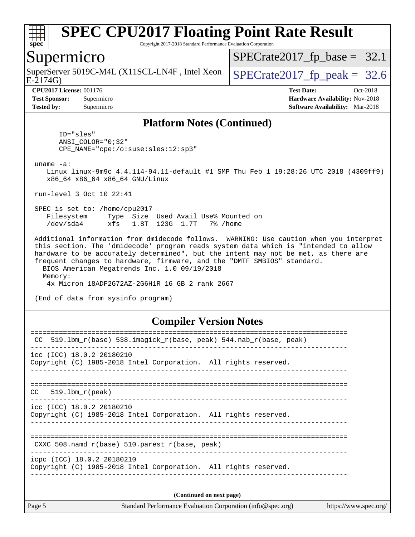

Copyright 2017-2018 Standard Performance Evaluation Corporation

### Supermicro

SuperServer 5019C-M4L (X11SCL-LN4F, Intel Xeon  $\big|$  [SPECrate2017\\_fp\\_peak =](http://www.spec.org/auto/cpu2017/Docs/result-fields.html#SPECrate2017fppeak) 32.6

 $SPECTate2017_fp\_base = 32.1$ 

E-2174G)

**[Tested by:](http://www.spec.org/auto/cpu2017/Docs/result-fields.html#Testedby)** Supermicro **[Software Availability:](http://www.spec.org/auto/cpu2017/Docs/result-fields.html#SoftwareAvailability)** Mar-2018

**[CPU2017 License:](http://www.spec.org/auto/cpu2017/Docs/result-fields.html#CPU2017License)** 001176 **[Test Date:](http://www.spec.org/auto/cpu2017/Docs/result-fields.html#TestDate)** Oct-2018 **[Test Sponsor:](http://www.spec.org/auto/cpu2017/Docs/result-fields.html#TestSponsor)** Supermicro **[Hardware Availability:](http://www.spec.org/auto/cpu2017/Docs/result-fields.html#HardwareAvailability)** Nov-2018

#### **[Platform Notes \(Continued\)](http://www.spec.org/auto/cpu2017/Docs/result-fields.html#PlatformNotes)**

 ID="sles" ANSI\_COLOR="0;32" CPE\_NAME="cpe:/o:suse:sles:12:sp3"

uname -a:

 Linux linux-9m9c 4.4.114-94.11-default #1 SMP Thu Feb 1 19:28:26 UTC 2018 (4309ff9) x86\_64 x86\_64 x86\_64 GNU/Linux

run-level 3 Oct 10 22:41

 SPEC is set to: /home/cpu2017 Filesystem Type Size Used Avail Use% Mounted on /dev/sda4 xfs 1.8T 123G 1.7T 7% /home

 Additional information from dmidecode follows. WARNING: Use caution when you interpret this section. The 'dmidecode' program reads system data which is "intended to allow hardware to be accurately determined", but the intent may not be met, as there are frequent changes to hardware, firmware, and the "DMTF SMBIOS" standard. BIOS American Megatrends Inc. 1.0 09/19/2018 Memory:

4x Micron 18ADF2G72AZ-2G6H1R 16 GB 2 rank 2667

(End of data from sysinfo program)

#### **[Compiler Version Notes](http://www.spec.org/auto/cpu2017/Docs/result-fields.html#CompilerVersionNotes)**

| 519.1bm_r(base)    538.imagick_r(base, peak)    544.nab_r(base, peak)<br>CC                   |  |  |  |  |  |  |
|-----------------------------------------------------------------------------------------------|--|--|--|--|--|--|
| $\text{ice}$ (ICC) 18.0.2 20180210                                                            |  |  |  |  |  |  |
| Copyright (C) 1985-2018 Intel Corporation. All rights reserved.                               |  |  |  |  |  |  |
|                                                                                               |  |  |  |  |  |  |
| $CC = 519.1$ bm $r(\text{peak})$                                                              |  |  |  |  |  |  |
| icc (ICC) 18.0.2 20180210<br>Copyright (C) 1985-2018 Intel Corporation. All rights reserved.  |  |  |  |  |  |  |
|                                                                                               |  |  |  |  |  |  |
| CXXC 508. namd $r(base)$ 510. parest $r(base, peak)$                                          |  |  |  |  |  |  |
| icpc (ICC) 18.0.2 20180210<br>Copyright (C) 1985-2018 Intel Corporation. All rights reserved. |  |  |  |  |  |  |
|                                                                                               |  |  |  |  |  |  |
| (Continued on next page)                                                                      |  |  |  |  |  |  |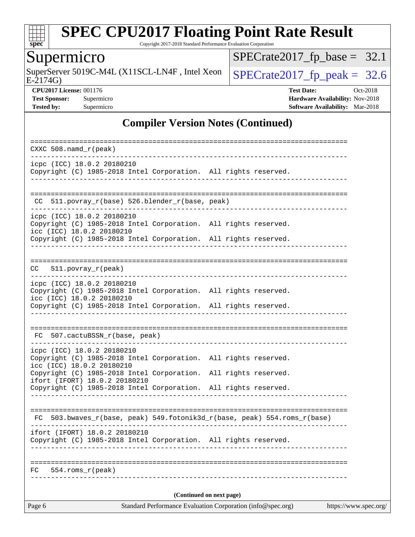

Copyright 2017-2018 Standard Performance Evaluation Corporation

# **Supermicro**

E-2174G) SuperServer 5019C-M4L (X11SCL-LN4F, Intel Xeon  $\sqrt{\text{SPECrate2017\_fp\_peak}} = 32.6$ 

 $SPECrate2017_fp\_base = 32.1$ 

**[CPU2017 License:](http://www.spec.org/auto/cpu2017/Docs/result-fields.html#CPU2017License)** 001176 **[Test Date:](http://www.spec.org/auto/cpu2017/Docs/result-fields.html#TestDate)** Oct-2018 **[Test Sponsor:](http://www.spec.org/auto/cpu2017/Docs/result-fields.html#TestSponsor)** Supermicro **[Hardware Availability:](http://www.spec.org/auto/cpu2017/Docs/result-fields.html#HardwareAvailability)** Nov-2018 **[Tested by:](http://www.spec.org/auto/cpu2017/Docs/result-fields.html#Testedby)** Supermicro **Supermicro [Software Availability:](http://www.spec.org/auto/cpu2017/Docs/result-fields.html#SoftwareAvailability)** Mar-2018

### **[Compiler Version Notes \(Continued\)](http://www.spec.org/auto/cpu2017/Docs/result-fields.html#CompilerVersionNotes)**

| Page 6 |                                                            | Standard Performance Evaluation Corporation (info@spec.org)     |  |                                                                          | https://www.spec.org/ |
|--------|------------------------------------------------------------|-----------------------------------------------------------------|--|--------------------------------------------------------------------------|-----------------------|
|        |                                                            | (Continued on next page)                                        |  |                                                                          |                       |
| FC     | 554.roms r(peak)                                           |                                                                 |  |                                                                          |                       |
|        |                                                            |                                                                 |  |                                                                          |                       |
|        | ifort (IFORT) 18.0.2 20180210                              | Copyright (C) 1985-2018 Intel Corporation. All rights reserved. |  |                                                                          |                       |
|        |                                                            |                                                                 |  | FC 503.bwaves_r(base, peak) 549.fotonik3d_r(base, peak) 554.roms_r(base) |                       |
|        |                                                            | Copyright (C) 1985-2018 Intel Corporation. All rights reserved. |  |                                                                          |                       |
|        | icc (ICC) 18.0.2 20180210<br>ifort (IFORT) 18.0.2 20180210 | Copyright (C) 1985-2018 Intel Corporation. All rights reserved. |  |                                                                          |                       |
|        | icpc (ICC) 18.0.2 20180210                                 | Copyright (C) 1985-2018 Intel Corporation. All rights reserved. |  |                                                                          |                       |
|        | FC 507.cactuBSSN_r(base, peak)                             |                                                                 |  |                                                                          |                       |
|        |                                                            | Copyright (C) 1985-2018 Intel Corporation. All rights reserved. |  |                                                                          |                       |
|        | icpc (ICC) 18.0.2 20180210<br>icc (ICC) 18.0.2 20180210    | Copyright (C) 1985-2018 Intel Corporation. All rights reserved. |  |                                                                          |                       |
| CC     | $511. povray_r (peak)$                                     |                                                                 |  |                                                                          |                       |
|        |                                                            | Copyright (C) 1985-2018 Intel Corporation. All rights reserved. |  |                                                                          |                       |
|        | icpc (ICC) 18.0.2 20180210<br>icc (ICC) 18.0.2 20180210    | Copyright (C) 1985-2018 Intel Corporation. All rights reserved. |  |                                                                          |                       |
| CC.    |                                                            | 511.povray_r(base) 526.blender_r(base, peak)                    |  |                                                                          |                       |
|        |                                                            | Copyright (C) 1985-2018 Intel Corporation. All rights reserved. |  |                                                                          |                       |
|        | icpc (ICC) 18.0.2 20180210                                 |                                                                 |  |                                                                          |                       |
|        | $CXXC 508.namd_r (peak)$                                   |                                                                 |  |                                                                          |                       |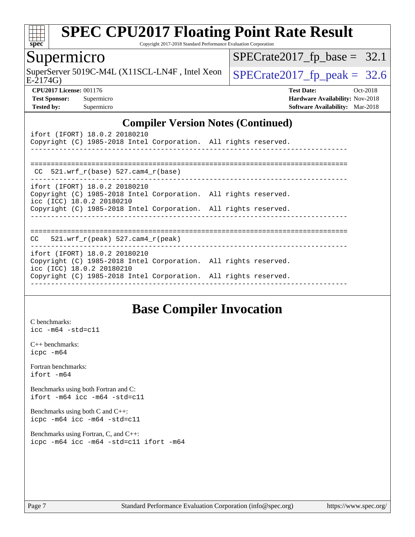

Copyright 2017-2018 Standard Performance Evaluation Corporation

### Supermicro

SuperServer 5019C-M4L (X11SCL-LN4F, Intel Xeon  $\big|$  [SPECrate2017\\_fp\\_peak =](http://www.spec.org/auto/cpu2017/Docs/result-fields.html#SPECrate2017fppeak) 32.6

 $SPECTate2017_fp\_base = 32.1$ 

E-2174G)

**[CPU2017 License:](http://www.spec.org/auto/cpu2017/Docs/result-fields.html#CPU2017License)** 001176 **[Test Date:](http://www.spec.org/auto/cpu2017/Docs/result-fields.html#TestDate)** Oct-2018

**[Test Sponsor:](http://www.spec.org/auto/cpu2017/Docs/result-fields.html#TestSponsor)** Supermicro **[Hardware Availability:](http://www.spec.org/auto/cpu2017/Docs/result-fields.html#HardwareAvailability)** Nov-2018 **[Tested by:](http://www.spec.org/auto/cpu2017/Docs/result-fields.html#Testedby)** Supermicro **[Software Availability:](http://www.spec.org/auto/cpu2017/Docs/result-fields.html#SoftwareAvailability)** Mar-2018

### **[Compiler Version Notes \(Continued\)](http://www.spec.org/auto/cpu2017/Docs/result-fields.html#CompilerVersionNotes)**

| ifort (IFORT) 18.0.2 20180210<br>Copyright (C) 1985-2018 Intel Corporation. All rights reserved.                                       |  |
|----------------------------------------------------------------------------------------------------------------------------------------|--|
| CC $521.$ wrf r(base) 527.cam4 r(base)                                                                                                 |  |
| ifort (IFORT) 18.0.2 20180210<br>Copyright (C) 1985-2018 Intel Corporation. All rights reserved.<br>$\text{icc}$ (ICC) 18.0.2 20180210 |  |
| Copyright (C) 1985-2018 Intel Corporation. All rights reserved.                                                                        |  |
| $CC$ 521.wrf $r(\text{peak})$ 527.cam4 $r(\text{peak})$                                                                                |  |
| ifort (IFORT) 18.0.2 20180210<br>Copyright (C) 1985-2018 Intel Corporation. All rights reserved.<br>icc (ICC) 18.0.2 20180210          |  |
| Copyright (C) 1985-2018 Intel Corporation. All rights reserved.                                                                        |  |

### **[Base Compiler Invocation](http://www.spec.org/auto/cpu2017/Docs/result-fields.html#BaseCompilerInvocation)**

[C benchmarks](http://www.spec.org/auto/cpu2017/Docs/result-fields.html#Cbenchmarks): [icc -m64 -std=c11](http://www.spec.org/cpu2017/results/res2018q4/cpu2017-20181112-09632.flags.html#user_CCbase_intel_icc_64bit_c11_33ee0cdaae7deeeab2a9725423ba97205ce30f63b9926c2519791662299b76a0318f32ddfffdc46587804de3178b4f9328c46fa7c2b0cd779d7a61945c91cd35)

[C++ benchmarks:](http://www.spec.org/auto/cpu2017/Docs/result-fields.html#CXXbenchmarks) [icpc -m64](http://www.spec.org/cpu2017/results/res2018q4/cpu2017-20181112-09632.flags.html#user_CXXbase_intel_icpc_64bit_4ecb2543ae3f1412ef961e0650ca070fec7b7afdcd6ed48761b84423119d1bf6bdf5cad15b44d48e7256388bc77273b966e5eb805aefd121eb22e9299b2ec9d9)

[Fortran benchmarks](http://www.spec.org/auto/cpu2017/Docs/result-fields.html#Fortranbenchmarks): [ifort -m64](http://www.spec.org/cpu2017/results/res2018q4/cpu2017-20181112-09632.flags.html#user_FCbase_intel_ifort_64bit_24f2bb282fbaeffd6157abe4f878425411749daecae9a33200eee2bee2fe76f3b89351d69a8130dd5949958ce389cf37ff59a95e7a40d588e8d3a57e0c3fd751)

[Benchmarks using both Fortran and C](http://www.spec.org/auto/cpu2017/Docs/result-fields.html#BenchmarksusingbothFortranandC): [ifort -m64](http://www.spec.org/cpu2017/results/res2018q4/cpu2017-20181112-09632.flags.html#user_CC_FCbase_intel_ifort_64bit_24f2bb282fbaeffd6157abe4f878425411749daecae9a33200eee2bee2fe76f3b89351d69a8130dd5949958ce389cf37ff59a95e7a40d588e8d3a57e0c3fd751) [icc -m64 -std=c11](http://www.spec.org/cpu2017/results/res2018q4/cpu2017-20181112-09632.flags.html#user_CC_FCbase_intel_icc_64bit_c11_33ee0cdaae7deeeab2a9725423ba97205ce30f63b9926c2519791662299b76a0318f32ddfffdc46587804de3178b4f9328c46fa7c2b0cd779d7a61945c91cd35)

[Benchmarks using both C and C++](http://www.spec.org/auto/cpu2017/Docs/result-fields.html#BenchmarksusingbothCandCXX): [icpc -m64](http://www.spec.org/cpu2017/results/res2018q4/cpu2017-20181112-09632.flags.html#user_CC_CXXbase_intel_icpc_64bit_4ecb2543ae3f1412ef961e0650ca070fec7b7afdcd6ed48761b84423119d1bf6bdf5cad15b44d48e7256388bc77273b966e5eb805aefd121eb22e9299b2ec9d9) [icc -m64 -std=c11](http://www.spec.org/cpu2017/results/res2018q4/cpu2017-20181112-09632.flags.html#user_CC_CXXbase_intel_icc_64bit_c11_33ee0cdaae7deeeab2a9725423ba97205ce30f63b9926c2519791662299b76a0318f32ddfffdc46587804de3178b4f9328c46fa7c2b0cd779d7a61945c91cd35)

[Benchmarks using Fortran, C, and C++:](http://www.spec.org/auto/cpu2017/Docs/result-fields.html#BenchmarksusingFortranCandCXX) [icpc -m64](http://www.spec.org/cpu2017/results/res2018q4/cpu2017-20181112-09632.flags.html#user_CC_CXX_FCbase_intel_icpc_64bit_4ecb2543ae3f1412ef961e0650ca070fec7b7afdcd6ed48761b84423119d1bf6bdf5cad15b44d48e7256388bc77273b966e5eb805aefd121eb22e9299b2ec9d9) [icc -m64 -std=c11](http://www.spec.org/cpu2017/results/res2018q4/cpu2017-20181112-09632.flags.html#user_CC_CXX_FCbase_intel_icc_64bit_c11_33ee0cdaae7deeeab2a9725423ba97205ce30f63b9926c2519791662299b76a0318f32ddfffdc46587804de3178b4f9328c46fa7c2b0cd779d7a61945c91cd35) [ifort -m64](http://www.spec.org/cpu2017/results/res2018q4/cpu2017-20181112-09632.flags.html#user_CC_CXX_FCbase_intel_ifort_64bit_24f2bb282fbaeffd6157abe4f878425411749daecae9a33200eee2bee2fe76f3b89351d69a8130dd5949958ce389cf37ff59a95e7a40d588e8d3a57e0c3fd751)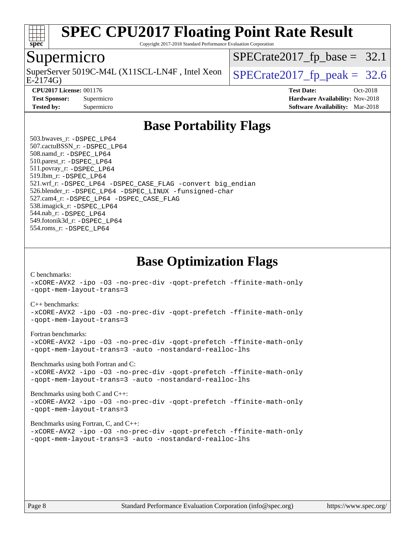

Copyright 2017-2018 Standard Performance Evaluation Corporation

### Supermicro

E-2174G) SuperServer 5019C-M4L (X11SCL-LN4F, Intel Xeon  $\big|$  SPECrate 2017 fp peak = 32.6

 $SPECrate2017_fp\_base = 32.1$ 

**[Tested by:](http://www.spec.org/auto/cpu2017/Docs/result-fields.html#Testedby)** Supermicro **[Software Availability:](http://www.spec.org/auto/cpu2017/Docs/result-fields.html#SoftwareAvailability)** Mar-2018

**[CPU2017 License:](http://www.spec.org/auto/cpu2017/Docs/result-fields.html#CPU2017License)** 001176 **[Test Date:](http://www.spec.org/auto/cpu2017/Docs/result-fields.html#TestDate)** Oct-2018 **[Test Sponsor:](http://www.spec.org/auto/cpu2017/Docs/result-fields.html#TestSponsor)** Supermicro **[Hardware Availability:](http://www.spec.org/auto/cpu2017/Docs/result-fields.html#HardwareAvailability)** Nov-2018

### **[Base Portability Flags](http://www.spec.org/auto/cpu2017/Docs/result-fields.html#BasePortabilityFlags)**

 503.bwaves\_r: [-DSPEC\\_LP64](http://www.spec.org/cpu2017/results/res2018q4/cpu2017-20181112-09632.flags.html#suite_basePORTABILITY503_bwaves_r_DSPEC_LP64) 507.cactuBSSN\_r: [-DSPEC\\_LP64](http://www.spec.org/cpu2017/results/res2018q4/cpu2017-20181112-09632.flags.html#suite_basePORTABILITY507_cactuBSSN_r_DSPEC_LP64) 508.namd\_r: [-DSPEC\\_LP64](http://www.spec.org/cpu2017/results/res2018q4/cpu2017-20181112-09632.flags.html#suite_basePORTABILITY508_namd_r_DSPEC_LP64) 510.parest\_r: [-DSPEC\\_LP64](http://www.spec.org/cpu2017/results/res2018q4/cpu2017-20181112-09632.flags.html#suite_basePORTABILITY510_parest_r_DSPEC_LP64) 511.povray\_r: [-DSPEC\\_LP64](http://www.spec.org/cpu2017/results/res2018q4/cpu2017-20181112-09632.flags.html#suite_basePORTABILITY511_povray_r_DSPEC_LP64) 519.lbm\_r: [-DSPEC\\_LP64](http://www.spec.org/cpu2017/results/res2018q4/cpu2017-20181112-09632.flags.html#suite_basePORTABILITY519_lbm_r_DSPEC_LP64) 521.wrf\_r: [-DSPEC\\_LP64](http://www.spec.org/cpu2017/results/res2018q4/cpu2017-20181112-09632.flags.html#suite_basePORTABILITY521_wrf_r_DSPEC_LP64) [-DSPEC\\_CASE\\_FLAG](http://www.spec.org/cpu2017/results/res2018q4/cpu2017-20181112-09632.flags.html#b521.wrf_r_baseCPORTABILITY_DSPEC_CASE_FLAG) [-convert big\\_endian](http://www.spec.org/cpu2017/results/res2018q4/cpu2017-20181112-09632.flags.html#user_baseFPORTABILITY521_wrf_r_convert_big_endian_c3194028bc08c63ac5d04de18c48ce6d347e4e562e8892b8bdbdc0214820426deb8554edfa529a3fb25a586e65a3d812c835984020483e7e73212c4d31a38223) 526.blender\_r: [-DSPEC\\_LP64](http://www.spec.org/cpu2017/results/res2018q4/cpu2017-20181112-09632.flags.html#suite_basePORTABILITY526_blender_r_DSPEC_LP64) [-DSPEC\\_LINUX](http://www.spec.org/cpu2017/results/res2018q4/cpu2017-20181112-09632.flags.html#b526.blender_r_baseCPORTABILITY_DSPEC_LINUX) [-funsigned-char](http://www.spec.org/cpu2017/results/res2018q4/cpu2017-20181112-09632.flags.html#user_baseCPORTABILITY526_blender_r_force_uchar_40c60f00ab013830e2dd6774aeded3ff59883ba5a1fc5fc14077f794d777847726e2a5858cbc7672e36e1b067e7e5c1d9a74f7176df07886a243d7cc18edfe67) 527.cam4\_r: [-DSPEC\\_LP64](http://www.spec.org/cpu2017/results/res2018q4/cpu2017-20181112-09632.flags.html#suite_basePORTABILITY527_cam4_r_DSPEC_LP64) [-DSPEC\\_CASE\\_FLAG](http://www.spec.org/cpu2017/results/res2018q4/cpu2017-20181112-09632.flags.html#b527.cam4_r_baseCPORTABILITY_DSPEC_CASE_FLAG) 538.imagick\_r: [-DSPEC\\_LP64](http://www.spec.org/cpu2017/results/res2018q4/cpu2017-20181112-09632.flags.html#suite_basePORTABILITY538_imagick_r_DSPEC_LP64) 544.nab\_r: [-DSPEC\\_LP64](http://www.spec.org/cpu2017/results/res2018q4/cpu2017-20181112-09632.flags.html#suite_basePORTABILITY544_nab_r_DSPEC_LP64) 549.fotonik3d\_r: [-DSPEC\\_LP64](http://www.spec.org/cpu2017/results/res2018q4/cpu2017-20181112-09632.flags.html#suite_basePORTABILITY549_fotonik3d_r_DSPEC_LP64) 554.roms\_r: [-DSPEC\\_LP64](http://www.spec.org/cpu2017/results/res2018q4/cpu2017-20181112-09632.flags.html#suite_basePORTABILITY554_roms_r_DSPEC_LP64)

**[Base Optimization Flags](http://www.spec.org/auto/cpu2017/Docs/result-fields.html#BaseOptimizationFlags)**

[C benchmarks](http://www.spec.org/auto/cpu2017/Docs/result-fields.html#Cbenchmarks):

[-xCORE-AVX2](http://www.spec.org/cpu2017/results/res2018q4/cpu2017-20181112-09632.flags.html#user_CCbase_f-xCORE-AVX2) [-ipo](http://www.spec.org/cpu2017/results/res2018q4/cpu2017-20181112-09632.flags.html#user_CCbase_f-ipo) [-O3](http://www.spec.org/cpu2017/results/res2018q4/cpu2017-20181112-09632.flags.html#user_CCbase_f-O3) [-no-prec-div](http://www.spec.org/cpu2017/results/res2018q4/cpu2017-20181112-09632.flags.html#user_CCbase_f-no-prec-div) [-qopt-prefetch](http://www.spec.org/cpu2017/results/res2018q4/cpu2017-20181112-09632.flags.html#user_CCbase_f-qopt-prefetch) [-ffinite-math-only](http://www.spec.org/cpu2017/results/res2018q4/cpu2017-20181112-09632.flags.html#user_CCbase_f_finite_math_only_cb91587bd2077682c4b38af759c288ed7c732db004271a9512da14a4f8007909a5f1427ecbf1a0fb78ff2a814402c6114ac565ca162485bbcae155b5e4258871) [-qopt-mem-layout-trans=3](http://www.spec.org/cpu2017/results/res2018q4/cpu2017-20181112-09632.flags.html#user_CCbase_f-qopt-mem-layout-trans_de80db37974c74b1f0e20d883f0b675c88c3b01e9d123adea9b28688d64333345fb62bc4a798493513fdb68f60282f9a726aa07f478b2f7113531aecce732043)

#### [C++ benchmarks:](http://www.spec.org/auto/cpu2017/Docs/result-fields.html#CXXbenchmarks)

[-xCORE-AVX2](http://www.spec.org/cpu2017/results/res2018q4/cpu2017-20181112-09632.flags.html#user_CXXbase_f-xCORE-AVX2) [-ipo](http://www.spec.org/cpu2017/results/res2018q4/cpu2017-20181112-09632.flags.html#user_CXXbase_f-ipo) [-O3](http://www.spec.org/cpu2017/results/res2018q4/cpu2017-20181112-09632.flags.html#user_CXXbase_f-O3) [-no-prec-div](http://www.spec.org/cpu2017/results/res2018q4/cpu2017-20181112-09632.flags.html#user_CXXbase_f-no-prec-div) [-qopt-prefetch](http://www.spec.org/cpu2017/results/res2018q4/cpu2017-20181112-09632.flags.html#user_CXXbase_f-qopt-prefetch) [-ffinite-math-only](http://www.spec.org/cpu2017/results/res2018q4/cpu2017-20181112-09632.flags.html#user_CXXbase_f_finite_math_only_cb91587bd2077682c4b38af759c288ed7c732db004271a9512da14a4f8007909a5f1427ecbf1a0fb78ff2a814402c6114ac565ca162485bbcae155b5e4258871) [-qopt-mem-layout-trans=3](http://www.spec.org/cpu2017/results/res2018q4/cpu2017-20181112-09632.flags.html#user_CXXbase_f-qopt-mem-layout-trans_de80db37974c74b1f0e20d883f0b675c88c3b01e9d123adea9b28688d64333345fb62bc4a798493513fdb68f60282f9a726aa07f478b2f7113531aecce732043)

#### [Fortran benchmarks](http://www.spec.org/auto/cpu2017/Docs/result-fields.html#Fortranbenchmarks):

[-xCORE-AVX2](http://www.spec.org/cpu2017/results/res2018q4/cpu2017-20181112-09632.flags.html#user_FCbase_f-xCORE-AVX2) [-ipo](http://www.spec.org/cpu2017/results/res2018q4/cpu2017-20181112-09632.flags.html#user_FCbase_f-ipo) [-O3](http://www.spec.org/cpu2017/results/res2018q4/cpu2017-20181112-09632.flags.html#user_FCbase_f-O3) [-no-prec-div](http://www.spec.org/cpu2017/results/res2018q4/cpu2017-20181112-09632.flags.html#user_FCbase_f-no-prec-div) [-qopt-prefetch](http://www.spec.org/cpu2017/results/res2018q4/cpu2017-20181112-09632.flags.html#user_FCbase_f-qopt-prefetch) [-ffinite-math-only](http://www.spec.org/cpu2017/results/res2018q4/cpu2017-20181112-09632.flags.html#user_FCbase_f_finite_math_only_cb91587bd2077682c4b38af759c288ed7c732db004271a9512da14a4f8007909a5f1427ecbf1a0fb78ff2a814402c6114ac565ca162485bbcae155b5e4258871) [-qopt-mem-layout-trans=3](http://www.spec.org/cpu2017/results/res2018q4/cpu2017-20181112-09632.flags.html#user_FCbase_f-qopt-mem-layout-trans_de80db37974c74b1f0e20d883f0b675c88c3b01e9d123adea9b28688d64333345fb62bc4a798493513fdb68f60282f9a726aa07f478b2f7113531aecce732043) [-auto](http://www.spec.org/cpu2017/results/res2018q4/cpu2017-20181112-09632.flags.html#user_FCbase_f-auto) [-nostandard-realloc-lhs](http://www.spec.org/cpu2017/results/res2018q4/cpu2017-20181112-09632.flags.html#user_FCbase_f_2003_std_realloc_82b4557e90729c0f113870c07e44d33d6f5a304b4f63d4c15d2d0f1fab99f5daaed73bdb9275d9ae411527f28b936061aa8b9c8f2d63842963b95c9dd6426b8a)

[Benchmarks using both Fortran and C](http://www.spec.org/auto/cpu2017/Docs/result-fields.html#BenchmarksusingbothFortranandC):

[-xCORE-AVX2](http://www.spec.org/cpu2017/results/res2018q4/cpu2017-20181112-09632.flags.html#user_CC_FCbase_f-xCORE-AVX2) [-ipo](http://www.spec.org/cpu2017/results/res2018q4/cpu2017-20181112-09632.flags.html#user_CC_FCbase_f-ipo) [-O3](http://www.spec.org/cpu2017/results/res2018q4/cpu2017-20181112-09632.flags.html#user_CC_FCbase_f-O3) [-no-prec-div](http://www.spec.org/cpu2017/results/res2018q4/cpu2017-20181112-09632.flags.html#user_CC_FCbase_f-no-prec-div) [-qopt-prefetch](http://www.spec.org/cpu2017/results/res2018q4/cpu2017-20181112-09632.flags.html#user_CC_FCbase_f-qopt-prefetch) [-ffinite-math-only](http://www.spec.org/cpu2017/results/res2018q4/cpu2017-20181112-09632.flags.html#user_CC_FCbase_f_finite_math_only_cb91587bd2077682c4b38af759c288ed7c732db004271a9512da14a4f8007909a5f1427ecbf1a0fb78ff2a814402c6114ac565ca162485bbcae155b5e4258871) [-qopt-mem-layout-trans=3](http://www.spec.org/cpu2017/results/res2018q4/cpu2017-20181112-09632.flags.html#user_CC_FCbase_f-qopt-mem-layout-trans_de80db37974c74b1f0e20d883f0b675c88c3b01e9d123adea9b28688d64333345fb62bc4a798493513fdb68f60282f9a726aa07f478b2f7113531aecce732043) [-auto](http://www.spec.org/cpu2017/results/res2018q4/cpu2017-20181112-09632.flags.html#user_CC_FCbase_f-auto) [-nostandard-realloc-lhs](http://www.spec.org/cpu2017/results/res2018q4/cpu2017-20181112-09632.flags.html#user_CC_FCbase_f_2003_std_realloc_82b4557e90729c0f113870c07e44d33d6f5a304b4f63d4c15d2d0f1fab99f5daaed73bdb9275d9ae411527f28b936061aa8b9c8f2d63842963b95c9dd6426b8a)

[Benchmarks using both C and C++](http://www.spec.org/auto/cpu2017/Docs/result-fields.html#BenchmarksusingbothCandCXX): [-xCORE-AVX2](http://www.spec.org/cpu2017/results/res2018q4/cpu2017-20181112-09632.flags.html#user_CC_CXXbase_f-xCORE-AVX2) [-ipo](http://www.spec.org/cpu2017/results/res2018q4/cpu2017-20181112-09632.flags.html#user_CC_CXXbase_f-ipo) [-O3](http://www.spec.org/cpu2017/results/res2018q4/cpu2017-20181112-09632.flags.html#user_CC_CXXbase_f-O3) [-no-prec-div](http://www.spec.org/cpu2017/results/res2018q4/cpu2017-20181112-09632.flags.html#user_CC_CXXbase_f-no-prec-div) [-qopt-prefetch](http://www.spec.org/cpu2017/results/res2018q4/cpu2017-20181112-09632.flags.html#user_CC_CXXbase_f-qopt-prefetch) [-ffinite-math-only](http://www.spec.org/cpu2017/results/res2018q4/cpu2017-20181112-09632.flags.html#user_CC_CXXbase_f_finite_math_only_cb91587bd2077682c4b38af759c288ed7c732db004271a9512da14a4f8007909a5f1427ecbf1a0fb78ff2a814402c6114ac565ca162485bbcae155b5e4258871) [-qopt-mem-layout-trans=3](http://www.spec.org/cpu2017/results/res2018q4/cpu2017-20181112-09632.flags.html#user_CC_CXXbase_f-qopt-mem-layout-trans_de80db37974c74b1f0e20d883f0b675c88c3b01e9d123adea9b28688d64333345fb62bc4a798493513fdb68f60282f9a726aa07f478b2f7113531aecce732043)

#### [Benchmarks using Fortran, C, and C++:](http://www.spec.org/auto/cpu2017/Docs/result-fields.html#BenchmarksusingFortranCandCXX)

[-xCORE-AVX2](http://www.spec.org/cpu2017/results/res2018q4/cpu2017-20181112-09632.flags.html#user_CC_CXX_FCbase_f-xCORE-AVX2) [-ipo](http://www.spec.org/cpu2017/results/res2018q4/cpu2017-20181112-09632.flags.html#user_CC_CXX_FCbase_f-ipo) [-O3](http://www.spec.org/cpu2017/results/res2018q4/cpu2017-20181112-09632.flags.html#user_CC_CXX_FCbase_f-O3) [-no-prec-div](http://www.spec.org/cpu2017/results/res2018q4/cpu2017-20181112-09632.flags.html#user_CC_CXX_FCbase_f-no-prec-div) [-qopt-prefetch](http://www.spec.org/cpu2017/results/res2018q4/cpu2017-20181112-09632.flags.html#user_CC_CXX_FCbase_f-qopt-prefetch) [-ffinite-math-only](http://www.spec.org/cpu2017/results/res2018q4/cpu2017-20181112-09632.flags.html#user_CC_CXX_FCbase_f_finite_math_only_cb91587bd2077682c4b38af759c288ed7c732db004271a9512da14a4f8007909a5f1427ecbf1a0fb78ff2a814402c6114ac565ca162485bbcae155b5e4258871) [-qopt-mem-layout-trans=3](http://www.spec.org/cpu2017/results/res2018q4/cpu2017-20181112-09632.flags.html#user_CC_CXX_FCbase_f-qopt-mem-layout-trans_de80db37974c74b1f0e20d883f0b675c88c3b01e9d123adea9b28688d64333345fb62bc4a798493513fdb68f60282f9a726aa07f478b2f7113531aecce732043) [-auto](http://www.spec.org/cpu2017/results/res2018q4/cpu2017-20181112-09632.flags.html#user_CC_CXX_FCbase_f-auto) [-nostandard-realloc-lhs](http://www.spec.org/cpu2017/results/res2018q4/cpu2017-20181112-09632.flags.html#user_CC_CXX_FCbase_f_2003_std_realloc_82b4557e90729c0f113870c07e44d33d6f5a304b4f63d4c15d2d0f1fab99f5daaed73bdb9275d9ae411527f28b936061aa8b9c8f2d63842963b95c9dd6426b8a)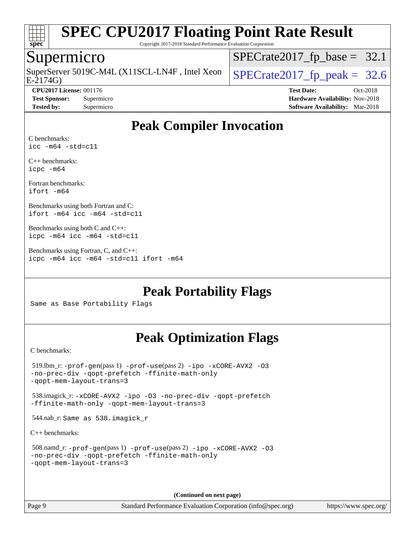

Copyright 2017-2018 Standard Performance Evaluation Corporation

### Supermicro

E-2174G) SuperServer 5019C-M4L (X11SCL-LN4F, Intel Xeon  $\big|$  [SPECrate2017\\_fp\\_peak =](http://www.spec.org/auto/cpu2017/Docs/result-fields.html#SPECrate2017fppeak) 32.6

 $SPECrate2017_fp\_base = 32.1$ 

**[CPU2017 License:](http://www.spec.org/auto/cpu2017/Docs/result-fields.html#CPU2017License)** 001176 **[Test Date:](http://www.spec.org/auto/cpu2017/Docs/result-fields.html#TestDate)** Oct-2018 **[Test Sponsor:](http://www.spec.org/auto/cpu2017/Docs/result-fields.html#TestSponsor)** Supermicro **[Hardware Availability:](http://www.spec.org/auto/cpu2017/Docs/result-fields.html#HardwareAvailability)** Nov-2018 **[Tested by:](http://www.spec.org/auto/cpu2017/Docs/result-fields.html#Testedby)** Supermicro **[Software Availability:](http://www.spec.org/auto/cpu2017/Docs/result-fields.html#SoftwareAvailability)** Mar-2018

## **[Peak Compiler Invocation](http://www.spec.org/auto/cpu2017/Docs/result-fields.html#PeakCompilerInvocation)**

[C benchmarks:](http://www.spec.org/auto/cpu2017/Docs/result-fields.html#Cbenchmarks) [icc -m64 -std=c11](http://www.spec.org/cpu2017/results/res2018q4/cpu2017-20181112-09632.flags.html#user_CCpeak_intel_icc_64bit_c11_33ee0cdaae7deeeab2a9725423ba97205ce30f63b9926c2519791662299b76a0318f32ddfffdc46587804de3178b4f9328c46fa7c2b0cd779d7a61945c91cd35)

[C++ benchmarks:](http://www.spec.org/auto/cpu2017/Docs/result-fields.html#CXXbenchmarks) [icpc -m64](http://www.spec.org/cpu2017/results/res2018q4/cpu2017-20181112-09632.flags.html#user_CXXpeak_intel_icpc_64bit_4ecb2543ae3f1412ef961e0650ca070fec7b7afdcd6ed48761b84423119d1bf6bdf5cad15b44d48e7256388bc77273b966e5eb805aefd121eb22e9299b2ec9d9)

[Fortran benchmarks](http://www.spec.org/auto/cpu2017/Docs/result-fields.html#Fortranbenchmarks): [ifort -m64](http://www.spec.org/cpu2017/results/res2018q4/cpu2017-20181112-09632.flags.html#user_FCpeak_intel_ifort_64bit_24f2bb282fbaeffd6157abe4f878425411749daecae9a33200eee2bee2fe76f3b89351d69a8130dd5949958ce389cf37ff59a95e7a40d588e8d3a57e0c3fd751)

[Benchmarks using both Fortran and C:](http://www.spec.org/auto/cpu2017/Docs/result-fields.html#BenchmarksusingbothFortranandC) [ifort -m64](http://www.spec.org/cpu2017/results/res2018q4/cpu2017-20181112-09632.flags.html#user_CC_FCpeak_intel_ifort_64bit_24f2bb282fbaeffd6157abe4f878425411749daecae9a33200eee2bee2fe76f3b89351d69a8130dd5949958ce389cf37ff59a95e7a40d588e8d3a57e0c3fd751) [icc -m64 -std=c11](http://www.spec.org/cpu2017/results/res2018q4/cpu2017-20181112-09632.flags.html#user_CC_FCpeak_intel_icc_64bit_c11_33ee0cdaae7deeeab2a9725423ba97205ce30f63b9926c2519791662299b76a0318f32ddfffdc46587804de3178b4f9328c46fa7c2b0cd779d7a61945c91cd35)

[Benchmarks using both C and C++](http://www.spec.org/auto/cpu2017/Docs/result-fields.html#BenchmarksusingbothCandCXX): [icpc -m64](http://www.spec.org/cpu2017/results/res2018q4/cpu2017-20181112-09632.flags.html#user_CC_CXXpeak_intel_icpc_64bit_4ecb2543ae3f1412ef961e0650ca070fec7b7afdcd6ed48761b84423119d1bf6bdf5cad15b44d48e7256388bc77273b966e5eb805aefd121eb22e9299b2ec9d9) [icc -m64 -std=c11](http://www.spec.org/cpu2017/results/res2018q4/cpu2017-20181112-09632.flags.html#user_CC_CXXpeak_intel_icc_64bit_c11_33ee0cdaae7deeeab2a9725423ba97205ce30f63b9926c2519791662299b76a0318f32ddfffdc46587804de3178b4f9328c46fa7c2b0cd779d7a61945c91cd35)

[Benchmarks using Fortran, C, and C++:](http://www.spec.org/auto/cpu2017/Docs/result-fields.html#BenchmarksusingFortranCandCXX) [icpc -m64](http://www.spec.org/cpu2017/results/res2018q4/cpu2017-20181112-09632.flags.html#user_CC_CXX_FCpeak_intel_icpc_64bit_4ecb2543ae3f1412ef961e0650ca070fec7b7afdcd6ed48761b84423119d1bf6bdf5cad15b44d48e7256388bc77273b966e5eb805aefd121eb22e9299b2ec9d9) [icc -m64 -std=c11](http://www.spec.org/cpu2017/results/res2018q4/cpu2017-20181112-09632.flags.html#user_CC_CXX_FCpeak_intel_icc_64bit_c11_33ee0cdaae7deeeab2a9725423ba97205ce30f63b9926c2519791662299b76a0318f32ddfffdc46587804de3178b4f9328c46fa7c2b0cd779d7a61945c91cd35) [ifort -m64](http://www.spec.org/cpu2017/results/res2018q4/cpu2017-20181112-09632.flags.html#user_CC_CXX_FCpeak_intel_ifort_64bit_24f2bb282fbaeffd6157abe4f878425411749daecae9a33200eee2bee2fe76f3b89351d69a8130dd5949958ce389cf37ff59a95e7a40d588e8d3a57e0c3fd751)

**[Peak Portability Flags](http://www.spec.org/auto/cpu2017/Docs/result-fields.html#PeakPortabilityFlags)**

Same as Base Portability Flags

### **[Peak Optimization Flags](http://www.spec.org/auto/cpu2017/Docs/result-fields.html#PeakOptimizationFlags)**

[C benchmarks](http://www.spec.org/auto/cpu2017/Docs/result-fields.html#Cbenchmarks):

```
 519.lbm_r: -prof-gen(pass 1) -prof-use(pass 2) -ipo -xCORE-AVX2 -O3
-no-prec-div -qopt-prefetch -ffinite-math-only
-qopt-mem-layout-trans=3
 538.imagick_r: -xCORE-AVX2 -ipo -O3 -no-prec-div -qopt-prefetch
-ffinite-math-only -qopt-mem-layout-trans=3
 544.nab_r: Same as 538.imagick_r
C++ benchmarks: 
 508.namd_r: -prof-gen(pass 1) -prof-use(pass 2) -ipo -xCORE-AVX2 -O3
-no-prec-div -qopt-prefetch -ffinite-math-only
-qopt-mem-layout-trans=3
```
**(Continued on next page)**

Page 9 Standard Performance Evaluation Corporation [\(info@spec.org\)](mailto:info@spec.org) <https://www.spec.org/>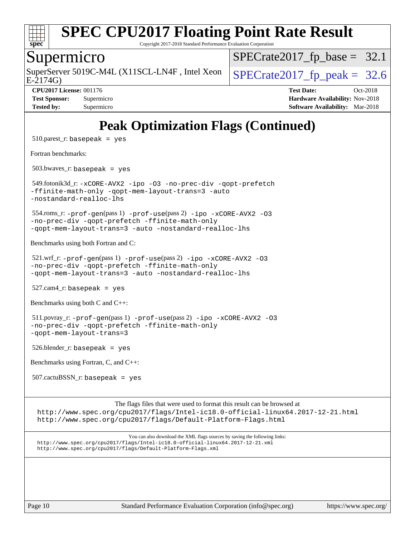

Copyright 2017-2018 Standard Performance Evaluation Corporation

### Supermicro

E-2174G) SuperServer 5019C-M4L (X11SCL-LN4F, Intel Xeon  $\left|$  [SPECrate2017\\_fp\\_peak =](http://www.spec.org/auto/cpu2017/Docs/result-fields.html#SPECrate2017fppeak) 32.6

 $SPECrate2017_fp\_base = 32.1$ 

**[CPU2017 License:](http://www.spec.org/auto/cpu2017/Docs/result-fields.html#CPU2017License)** 001176 **[Test Date:](http://www.spec.org/auto/cpu2017/Docs/result-fields.html#TestDate)** Oct-2018 **[Test Sponsor:](http://www.spec.org/auto/cpu2017/Docs/result-fields.html#TestSponsor)** Supermicro **[Hardware Availability:](http://www.spec.org/auto/cpu2017/Docs/result-fields.html#HardwareAvailability)** Nov-2018 **[Tested by:](http://www.spec.org/auto/cpu2017/Docs/result-fields.html#Testedby)** Supermicro **[Software Availability:](http://www.spec.org/auto/cpu2017/Docs/result-fields.html#SoftwareAvailability)** Mar-2018

# **[Peak Optimization Flags \(Continued\)](http://www.spec.org/auto/cpu2017/Docs/result-fields.html#PeakOptimizationFlags)**

 $510.parest_r:$  basepeak = yes

[Fortran benchmarks](http://www.spec.org/auto/cpu2017/Docs/result-fields.html#Fortranbenchmarks):

503.bwaves\_r: basepeak = yes

 549.fotonik3d\_r: [-xCORE-AVX2](http://www.spec.org/cpu2017/results/res2018q4/cpu2017-20181112-09632.flags.html#user_peakFOPTIMIZE549_fotonik3d_r_f-xCORE-AVX2) [-ipo](http://www.spec.org/cpu2017/results/res2018q4/cpu2017-20181112-09632.flags.html#user_peakFOPTIMIZE549_fotonik3d_r_f-ipo) [-O3](http://www.spec.org/cpu2017/results/res2018q4/cpu2017-20181112-09632.flags.html#user_peakFOPTIMIZE549_fotonik3d_r_f-O3) [-no-prec-div](http://www.spec.org/cpu2017/results/res2018q4/cpu2017-20181112-09632.flags.html#user_peakFOPTIMIZE549_fotonik3d_r_f-no-prec-div) [-qopt-prefetch](http://www.spec.org/cpu2017/results/res2018q4/cpu2017-20181112-09632.flags.html#user_peakFOPTIMIZE549_fotonik3d_r_f-qopt-prefetch) [-ffinite-math-only](http://www.spec.org/cpu2017/results/res2018q4/cpu2017-20181112-09632.flags.html#user_peakFOPTIMIZE549_fotonik3d_r_f_finite_math_only_cb91587bd2077682c4b38af759c288ed7c732db004271a9512da14a4f8007909a5f1427ecbf1a0fb78ff2a814402c6114ac565ca162485bbcae155b5e4258871) [-qopt-mem-layout-trans=3](http://www.spec.org/cpu2017/results/res2018q4/cpu2017-20181112-09632.flags.html#user_peakFOPTIMIZE549_fotonik3d_r_f-qopt-mem-layout-trans_de80db37974c74b1f0e20d883f0b675c88c3b01e9d123adea9b28688d64333345fb62bc4a798493513fdb68f60282f9a726aa07f478b2f7113531aecce732043) [-auto](http://www.spec.org/cpu2017/results/res2018q4/cpu2017-20181112-09632.flags.html#user_peakFOPTIMIZE549_fotonik3d_r_f-auto) [-nostandard-realloc-lhs](http://www.spec.org/cpu2017/results/res2018q4/cpu2017-20181112-09632.flags.html#user_peakEXTRA_FOPTIMIZE549_fotonik3d_r_f_2003_std_realloc_82b4557e90729c0f113870c07e44d33d6f5a304b4f63d4c15d2d0f1fab99f5daaed73bdb9275d9ae411527f28b936061aa8b9c8f2d63842963b95c9dd6426b8a)

 554.roms\_r: [-prof-gen](http://www.spec.org/cpu2017/results/res2018q4/cpu2017-20181112-09632.flags.html#user_peakPASS1_FFLAGSPASS1_LDFLAGS554_roms_r_prof_gen_5aa4926d6013ddb2a31985c654b3eb18169fc0c6952a63635c234f711e6e63dd76e94ad52365559451ec499a2cdb89e4dc58ba4c67ef54ca681ffbe1461d6b36)(pass 1) [-prof-use](http://www.spec.org/cpu2017/results/res2018q4/cpu2017-20181112-09632.flags.html#user_peakPASS2_FFLAGSPASS2_LDFLAGS554_roms_r_prof_use_1a21ceae95f36a2b53c25747139a6c16ca95bd9def2a207b4f0849963b97e94f5260e30a0c64f4bb623698870e679ca08317ef8150905d41bd88c6f78df73f19)(pass 2) [-ipo](http://www.spec.org/cpu2017/results/res2018q4/cpu2017-20181112-09632.flags.html#user_peakPASS1_FOPTIMIZEPASS2_FOPTIMIZE554_roms_r_f-ipo) [-xCORE-AVX2](http://www.spec.org/cpu2017/results/res2018q4/cpu2017-20181112-09632.flags.html#user_peakPASS2_FOPTIMIZE554_roms_r_f-xCORE-AVX2) [-O3](http://www.spec.org/cpu2017/results/res2018q4/cpu2017-20181112-09632.flags.html#user_peakPASS1_FOPTIMIZEPASS2_FOPTIMIZE554_roms_r_f-O3) [-no-prec-div](http://www.spec.org/cpu2017/results/res2018q4/cpu2017-20181112-09632.flags.html#user_peakPASS1_FOPTIMIZEPASS2_FOPTIMIZE554_roms_r_f-no-prec-div) [-qopt-prefetch](http://www.spec.org/cpu2017/results/res2018q4/cpu2017-20181112-09632.flags.html#user_peakPASS1_FOPTIMIZEPASS2_FOPTIMIZE554_roms_r_f-qopt-prefetch) [-ffinite-math-only](http://www.spec.org/cpu2017/results/res2018q4/cpu2017-20181112-09632.flags.html#user_peakPASS1_FOPTIMIZEPASS2_FOPTIMIZE554_roms_r_f_finite_math_only_cb91587bd2077682c4b38af759c288ed7c732db004271a9512da14a4f8007909a5f1427ecbf1a0fb78ff2a814402c6114ac565ca162485bbcae155b5e4258871) [-qopt-mem-layout-trans=3](http://www.spec.org/cpu2017/results/res2018q4/cpu2017-20181112-09632.flags.html#user_peakPASS1_FOPTIMIZEPASS2_FOPTIMIZE554_roms_r_f-qopt-mem-layout-trans_de80db37974c74b1f0e20d883f0b675c88c3b01e9d123adea9b28688d64333345fb62bc4a798493513fdb68f60282f9a726aa07f478b2f7113531aecce732043) [-auto](http://www.spec.org/cpu2017/results/res2018q4/cpu2017-20181112-09632.flags.html#user_peakPASS2_FOPTIMIZE554_roms_r_f-auto) [-nostandard-realloc-lhs](http://www.spec.org/cpu2017/results/res2018q4/cpu2017-20181112-09632.flags.html#user_peakEXTRA_FOPTIMIZE554_roms_r_f_2003_std_realloc_82b4557e90729c0f113870c07e44d33d6f5a304b4f63d4c15d2d0f1fab99f5daaed73bdb9275d9ae411527f28b936061aa8b9c8f2d63842963b95c9dd6426b8a)

[Benchmarks using both Fortran and C](http://www.spec.org/auto/cpu2017/Docs/result-fields.html#BenchmarksusingbothFortranandC):

 521.wrf\_r: [-prof-gen](http://www.spec.org/cpu2017/results/res2018q4/cpu2017-20181112-09632.flags.html#user_peakPASS1_CFLAGSPASS1_FFLAGSPASS1_LDFLAGS521_wrf_r_prof_gen_5aa4926d6013ddb2a31985c654b3eb18169fc0c6952a63635c234f711e6e63dd76e94ad52365559451ec499a2cdb89e4dc58ba4c67ef54ca681ffbe1461d6b36)(pass 1) [-prof-use](http://www.spec.org/cpu2017/results/res2018q4/cpu2017-20181112-09632.flags.html#user_peakPASS2_CFLAGSPASS2_FFLAGSPASS2_LDFLAGS521_wrf_r_prof_use_1a21ceae95f36a2b53c25747139a6c16ca95bd9def2a207b4f0849963b97e94f5260e30a0c64f4bb623698870e679ca08317ef8150905d41bd88c6f78df73f19)(pass 2) [-ipo](http://www.spec.org/cpu2017/results/res2018q4/cpu2017-20181112-09632.flags.html#user_peakPASS1_COPTIMIZEPASS1_FOPTIMIZEPASS2_COPTIMIZEPASS2_FOPTIMIZE521_wrf_r_f-ipo) [-xCORE-AVX2](http://www.spec.org/cpu2017/results/res2018q4/cpu2017-20181112-09632.flags.html#user_peakPASS2_COPTIMIZEPASS2_FOPTIMIZE521_wrf_r_f-xCORE-AVX2) [-O3](http://www.spec.org/cpu2017/results/res2018q4/cpu2017-20181112-09632.flags.html#user_peakPASS1_COPTIMIZEPASS1_FOPTIMIZEPASS2_COPTIMIZEPASS2_FOPTIMIZE521_wrf_r_f-O3) [-no-prec-div](http://www.spec.org/cpu2017/results/res2018q4/cpu2017-20181112-09632.flags.html#user_peakPASS1_COPTIMIZEPASS1_FOPTIMIZEPASS2_COPTIMIZEPASS2_FOPTIMIZE521_wrf_r_f-no-prec-div) [-qopt-prefetch](http://www.spec.org/cpu2017/results/res2018q4/cpu2017-20181112-09632.flags.html#user_peakPASS1_COPTIMIZEPASS1_FOPTIMIZEPASS2_COPTIMIZEPASS2_FOPTIMIZE521_wrf_r_f-qopt-prefetch) [-ffinite-math-only](http://www.spec.org/cpu2017/results/res2018q4/cpu2017-20181112-09632.flags.html#user_peakPASS1_COPTIMIZEPASS1_FOPTIMIZEPASS2_COPTIMIZEPASS2_FOPTIMIZE521_wrf_r_f_finite_math_only_cb91587bd2077682c4b38af759c288ed7c732db004271a9512da14a4f8007909a5f1427ecbf1a0fb78ff2a814402c6114ac565ca162485bbcae155b5e4258871) [-qopt-mem-layout-trans=3](http://www.spec.org/cpu2017/results/res2018q4/cpu2017-20181112-09632.flags.html#user_peakPASS1_COPTIMIZEPASS1_FOPTIMIZEPASS2_COPTIMIZEPASS2_FOPTIMIZE521_wrf_r_f-qopt-mem-layout-trans_de80db37974c74b1f0e20d883f0b675c88c3b01e9d123adea9b28688d64333345fb62bc4a798493513fdb68f60282f9a726aa07f478b2f7113531aecce732043) [-auto](http://www.spec.org/cpu2017/results/res2018q4/cpu2017-20181112-09632.flags.html#user_peakPASS2_FOPTIMIZE521_wrf_r_f-auto) [-nostandard-realloc-lhs](http://www.spec.org/cpu2017/results/res2018q4/cpu2017-20181112-09632.flags.html#user_peakEXTRA_FOPTIMIZE521_wrf_r_f_2003_std_realloc_82b4557e90729c0f113870c07e44d33d6f5a304b4f63d4c15d2d0f1fab99f5daaed73bdb9275d9ae411527f28b936061aa8b9c8f2d63842963b95c9dd6426b8a)

 $527.cam4_r$ : basepeak = yes

[Benchmarks using both C and C++](http://www.spec.org/auto/cpu2017/Docs/result-fields.html#BenchmarksusingbothCandCXX):

 511.povray\_r: [-prof-gen](http://www.spec.org/cpu2017/results/res2018q4/cpu2017-20181112-09632.flags.html#user_peakPASS1_CFLAGSPASS1_CXXFLAGSPASS1_LDFLAGS511_povray_r_prof_gen_5aa4926d6013ddb2a31985c654b3eb18169fc0c6952a63635c234f711e6e63dd76e94ad52365559451ec499a2cdb89e4dc58ba4c67ef54ca681ffbe1461d6b36)(pass 1) [-prof-use](http://www.spec.org/cpu2017/results/res2018q4/cpu2017-20181112-09632.flags.html#user_peakPASS2_CFLAGSPASS2_CXXFLAGSPASS2_LDFLAGS511_povray_r_prof_use_1a21ceae95f36a2b53c25747139a6c16ca95bd9def2a207b4f0849963b97e94f5260e30a0c64f4bb623698870e679ca08317ef8150905d41bd88c6f78df73f19)(pass 2) [-ipo](http://www.spec.org/cpu2017/results/res2018q4/cpu2017-20181112-09632.flags.html#user_peakPASS1_COPTIMIZEPASS1_CXXOPTIMIZEPASS2_COPTIMIZEPASS2_CXXOPTIMIZE511_povray_r_f-ipo) [-xCORE-AVX2](http://www.spec.org/cpu2017/results/res2018q4/cpu2017-20181112-09632.flags.html#user_peakPASS2_COPTIMIZEPASS2_CXXOPTIMIZE511_povray_r_f-xCORE-AVX2) [-O3](http://www.spec.org/cpu2017/results/res2018q4/cpu2017-20181112-09632.flags.html#user_peakPASS1_COPTIMIZEPASS1_CXXOPTIMIZEPASS2_COPTIMIZEPASS2_CXXOPTIMIZE511_povray_r_f-O3) [-no-prec-div](http://www.spec.org/cpu2017/results/res2018q4/cpu2017-20181112-09632.flags.html#user_peakPASS1_COPTIMIZEPASS1_CXXOPTIMIZEPASS2_COPTIMIZEPASS2_CXXOPTIMIZE511_povray_r_f-no-prec-div) [-qopt-prefetch](http://www.spec.org/cpu2017/results/res2018q4/cpu2017-20181112-09632.flags.html#user_peakPASS1_COPTIMIZEPASS1_CXXOPTIMIZEPASS2_COPTIMIZEPASS2_CXXOPTIMIZE511_povray_r_f-qopt-prefetch) [-ffinite-math-only](http://www.spec.org/cpu2017/results/res2018q4/cpu2017-20181112-09632.flags.html#user_peakPASS1_COPTIMIZEPASS1_CXXOPTIMIZEPASS2_COPTIMIZEPASS2_CXXOPTIMIZE511_povray_r_f_finite_math_only_cb91587bd2077682c4b38af759c288ed7c732db004271a9512da14a4f8007909a5f1427ecbf1a0fb78ff2a814402c6114ac565ca162485bbcae155b5e4258871) [-qopt-mem-layout-trans=3](http://www.spec.org/cpu2017/results/res2018q4/cpu2017-20181112-09632.flags.html#user_peakPASS1_COPTIMIZEPASS1_CXXOPTIMIZEPASS2_COPTIMIZEPASS2_CXXOPTIMIZE511_povray_r_f-qopt-mem-layout-trans_de80db37974c74b1f0e20d883f0b675c88c3b01e9d123adea9b28688d64333345fb62bc4a798493513fdb68f60282f9a726aa07f478b2f7113531aecce732043)

526.blender\_r: basepeak = yes

[Benchmarks using Fortran, C, and C++:](http://www.spec.org/auto/cpu2017/Docs/result-fields.html#BenchmarksusingFortranCandCXX)

 $507$ .cactu $BSSN$  r: basepeak = yes

The flags files that were used to format this result can be browsed at <http://www.spec.org/cpu2017/flags/Intel-ic18.0-official-linux64.2017-12-21.html> <http://www.spec.org/cpu2017/flags/Default-Platform-Flags.html>

You can also download the XML flags sources by saving the following links: <http://www.spec.org/cpu2017/flags/Intel-ic18.0-official-linux64.2017-12-21.xml> <http://www.spec.org/cpu2017/flags/Default-Platform-Flags.xml>